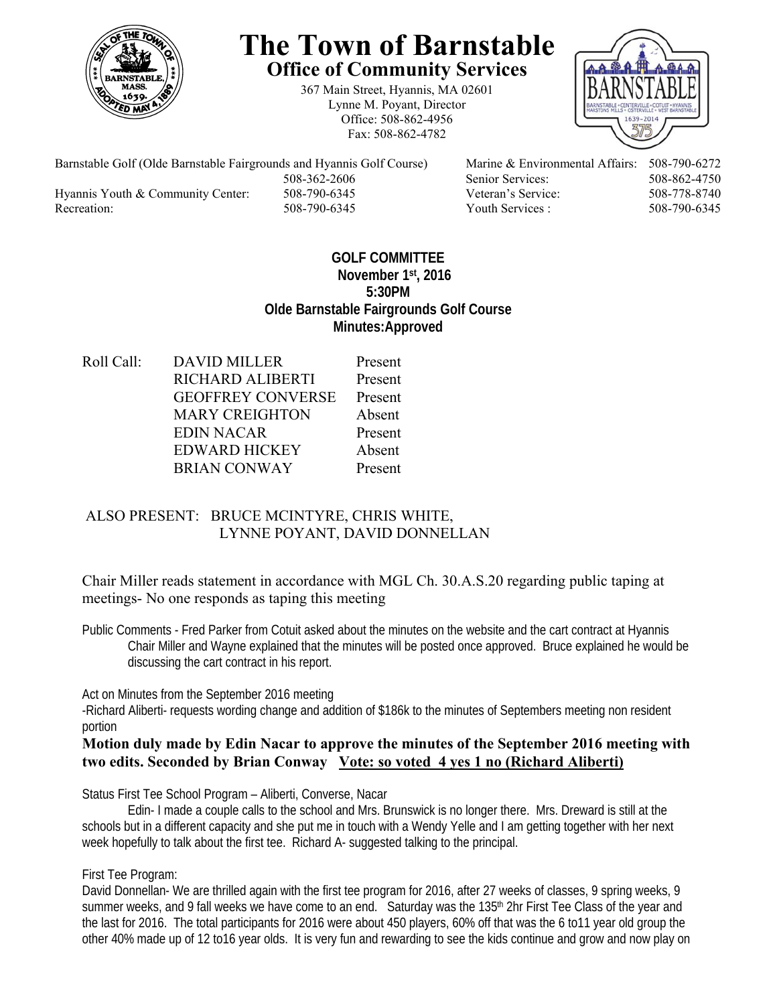

# **The Town of Barnstable Office of Community Services**

367 Main Street, Hyannis, MA 02601 Lynne M. Poyant, Director Office: 508-862-4956 Fax: 508-862-4782



Barnstable Golf (Olde Barnstable Fairgrounds and Hyannis Golf Course) Marine & Environmental Affairs: 508-790-6272 508-362-2606 Senior Services: 508-862-4750 Hyannis Youth & Community Center: 508-790-6345 Veteran's Service: 508-778-8740 Recreation: 508-790-6345 Youth Services : 508-790-6345 S08-790-6345

# **GOLF COMMITTEE November 1st, 2016 5:30PM Olde Barnstable Fairgrounds Golf Course Minutes:Approved**

Roll Call: DAVID MILLER Present RICHARD ALIBERTI Present GEOFFREY CONVERSE Present MARY CREIGHTON Absent EDIN NACAR Present EDWARD HICKEY Absent BRIAN CONWAY Present

# ALSO PRESENT: BRUCE MCINTYRE, CHRIS WHITE, LYNNE POYANT, DAVID DONNELLAN

Chair Miller reads statement in accordance with MGL Ch. 30.A.S.20 regarding public taping at meetings- No one responds as taping this meeting

Public Comments - Fred Parker from Cotuit asked about the minutes on the website and the cart contract at Hyannis Chair Miller and Wayne explained that the minutes will be posted once approved. Bruce explained he would be discussing the cart contract in his report.

Act on Minutes from the September 2016 meeting

-Richard Aliberti- requests wording change and addition of \$186k to the minutes of Septembers meeting non resident portion

## **Motion duly made by Edin Nacar to approve the minutes of the September 2016 meeting with two edits. Seconded by Brian Conway Vote: so voted 4 yes 1 no (Richard Aliberti)**

Status First Tee School Program – Aliberti, Converse, Nacar

 Edin- I made a couple calls to the school and Mrs. Brunswick is no longer there. Mrs. Dreward is still at the schools but in a different capacity and she put me in touch with a Wendy Yelle and I am getting together with her next week hopefully to talk about the first tee. Richard A- suggested talking to the principal.

#### First Tee Program:

David Donnellan- We are thrilled again with the first tee program for 2016, after 27 weeks of classes, 9 spring weeks, 9 summer weeks, and 9 fall weeks we have come to an end. Saturday was the 135<sup>th</sup> 2hr First Tee Class of the year and the last for 2016. The total participants for 2016 were about 450 players, 60% off that was the 6 to11 year old group the other 40% made up of 12 to16 year olds. It is very fun and rewarding to see the kids continue and grow and now play on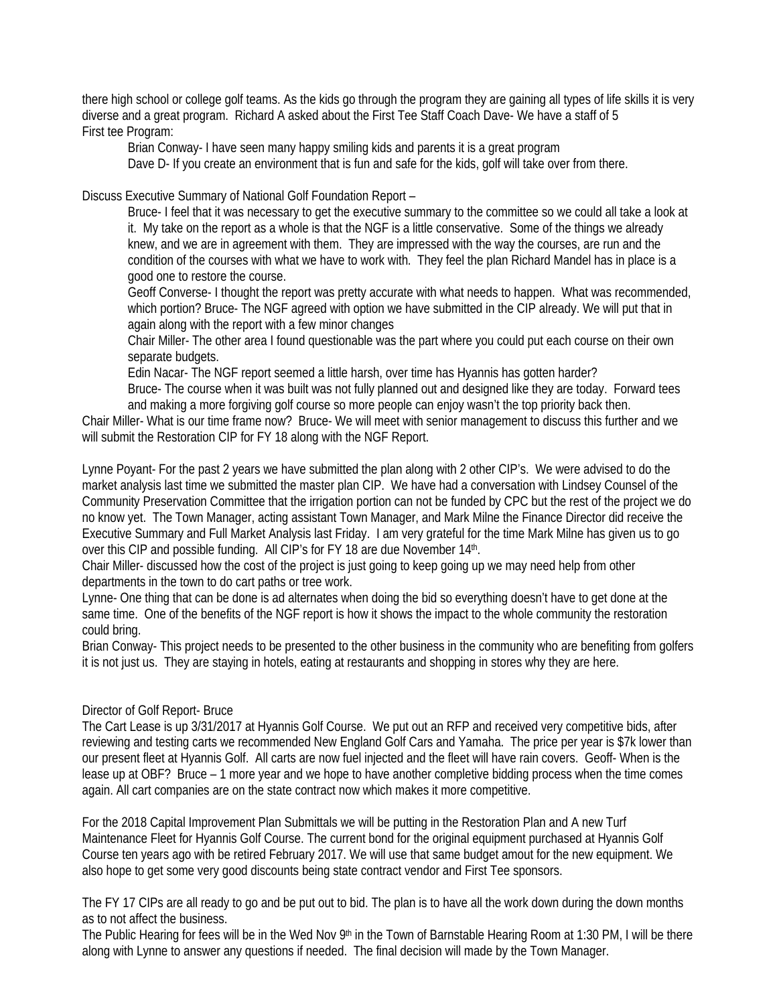there high school or college golf teams. As the kids go through the program they are gaining all types of life skills it is very diverse and a great program. Richard A asked about the First Tee Staff Coach Dave- We have a staff of 5 First tee Program:

Brian Conway- I have seen many happy smiling kids and parents it is a great program

Dave D- If you create an environment that is fun and safe for the kids, golf will take over from there.

Discuss Executive Summary of National Golf Foundation Report –

Bruce- I feel that it was necessary to get the executive summary to the committee so we could all take a look at it. My take on the report as a whole is that the NGF is a little conservative. Some of the things we already knew, and we are in agreement with them. They are impressed with the way the courses, are run and the condition of the courses with what we have to work with. They feel the plan Richard Mandel has in place is a good one to restore the course.

Geoff Converse- I thought the report was pretty accurate with what needs to happen. What was recommended, which portion? Bruce- The NGF agreed with option we have submitted in the CIP already. We will put that in again along with the report with a few minor changes

Chair Miller- The other area I found questionable was the part where you could put each course on their own separate budgets.

Edin Nacar- The NGF report seemed a little harsh, over time has Hyannis has gotten harder? Bruce- The course when it was built was not fully planned out and designed like they are today. Forward tees and making a more forgiving golf course so more people can enjoy wasn't the top priority back then.

Chair Miller- What is our time frame now? Bruce- We will meet with senior management to discuss this further and we will submit the Restoration CIP for FY 18 along with the NGF Report.

Lynne Poyant- For the past 2 years we have submitted the plan along with 2 other CIP's. We were advised to do the market analysis last time we submitted the master plan CIP. We have had a conversation with Lindsey Counsel of the Community Preservation Committee that the irrigation portion can not be funded by CPC but the rest of the project we do no know yet. The Town Manager, acting assistant Town Manager, and Mark Milne the Finance Director did receive the Executive Summary and Full Market Analysis last Friday. I am very grateful for the time Mark Milne has given us to go over this CIP and possible funding. All CIP's for FY 18 are due November 14th.

Chair Miller- discussed how the cost of the project is just going to keep going up we may need help from other departments in the town to do cart paths or tree work.

Lynne- One thing that can be done is ad alternates when doing the bid so everything doesn't have to get done at the same time. One of the benefits of the NGF report is how it shows the impact to the whole community the restoration could bring.

Brian Conway- This project needs to be presented to the other business in the community who are benefiting from golfers it is not just us. They are staying in hotels, eating at restaurants and shopping in stores why they are here.

#### Director of Golf Report- Bruce

The Cart Lease is up 3/31/2017 at Hyannis Golf Course. We put out an RFP and received very competitive bids, after reviewing and testing carts we recommended New England Golf Cars and Yamaha. The price per year is \$7k lower than our present fleet at Hyannis Golf. All carts are now fuel injected and the fleet will have rain covers. Geoff- When is the lease up at OBF? Bruce – 1 more year and we hope to have another completive bidding process when the time comes again. All cart companies are on the state contract now which makes it more competitive.

For the 2018 Capital Improvement Plan Submittals we will be putting in the Restoration Plan and A new Turf Maintenance Fleet for Hyannis Golf Course. The current bond for the original equipment purchased at Hyannis Golf Course ten years ago with be retired February 2017. We will use that same budget amout for the new equipment. We also hope to get some very good discounts being state contract vendor and First Tee sponsors.

The FY 17 CIPs are all ready to go and be put out to bid. The plan is to have all the work down during the down months as to not affect the business.

The Public Hearing for fees will be in the Wed Nov 9<sup>th</sup> in the Town of Barnstable Hearing Room at 1:30 PM, I will be there along with Lynne to answer any questions if needed. The final decision will made by the Town Manager.